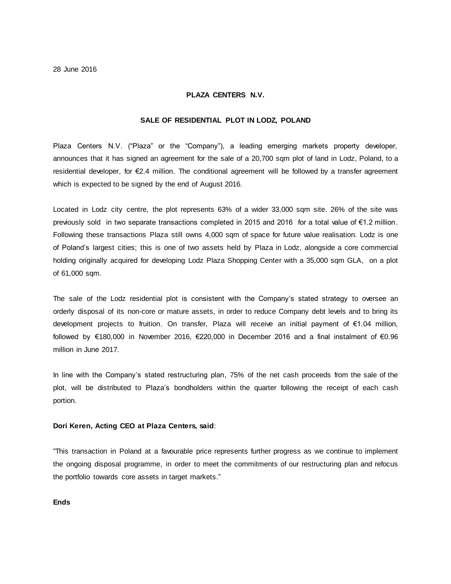#### **PLAZA CENTERS N.V.**

# **SALE OF RESIDENTIAL PLOT IN LODZ, POLAND**

Plaza Centers N.V. ("Plaza" or the "Company"), a leading emerging markets property developer, announces that it has signed an agreement for the sale of a 20,700 sqm plot of land in Lodz, Poland, to a residential developer, for €2.4 million. The conditional agreement will be followed by a transfer agreement which is expected to be signed by the end of August 2016.

Located in Lodz city centre, the plot represents 63% of a wider 33,000 sqm site. 26% of the site was previously sold in two separate transactions completed in 2015 and 2016 for a total value of €1.2 million. Following these transactions Plaza still owns 4,000 sqm of space for future value realisation. Lodz is one of Poland's largest cities; this is one of two assets held by Plaza in Lodz, alongside a core commercial holding originally acquired for developing Lodz Plaza Shopping Center with a 35,000 sqm GLA, on a plot of 61,000 sqm.

The sale of the Lodz residential plot is consistent with the Company's stated strategy to oversee an orderly disposal of its non-core or mature assets, in order to reduce Company debt levels and to bring its development projects to fruition. On transfer, Plaza will receive an initial payment of €1.04 million, followed by €180,000 in November 2016, €220,000 in December 2016 and a final instalment of €0.96 million in June 2017.

In line with the Company's stated restructuring plan, 75% of the net cash proceeds from the sale of the plot, will be distributed to Plaza's bondholders within the quarter following the receipt of each cash portion.

## **Dori Keren, Acting CEO at Plaza Centers, said**:

"This transaction in Poland at a favourable price represents further progress as we continue to implement the ongoing disposal programme, in order to meet the commitments of our restructuring plan and refocus the portfolio towards core assets in target markets."

# **Ends**